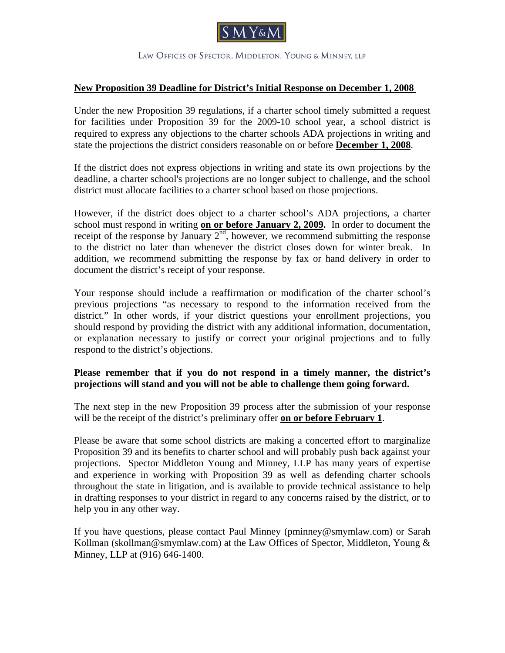

LAW OFFICES OF SPECTOR, MIDDLETON, YOUNG & MINNEY, LLP

## **New Proposition 39 Deadline for District's Initial Response on December 1, 2008**

Under the new Proposition 39 regulations, if a charter school timely submitted a request for facilities under Proposition 39 for the 2009-10 school year, a school district is required to express any objections to the charter schools ADA projections in writing and state the projections the district considers reasonable on or before **December 1, 2008**.

If the district does not express objections in writing and state its own projections by the deadline, a charter school's projections are no longer subject to challenge, and the school district must allocate facilities to a charter school based on those projections.

However, if the district does object to a charter school's ADA projections, a charter school must respond in writing **on or before January 2, 2009.** In order to document the receipt of the response by January  $2<sup>nd</sup>$ , however, we recommend submitting the response to the district no later than whenever the district closes down for winter break. In addition, we recommend submitting the response by fax or hand delivery in order to document the district's receipt of your response.

Your response should include a reaffirmation or modification of the charter school's previous projections "as necessary to respond to the information received from the district." In other words, if your district questions your enrollment projections, you should respond by providing the district with any additional information, documentation, or explanation necessary to justify or correct your original projections and to fully respond to the district's objections.

## **Please remember that if you do not respond in a timely manner, the district's projections will stand and you will not be able to challenge them going forward.**

The next step in the new Proposition 39 process after the submission of your response will be the receipt of the district's preliminary offer **on or before February 1**.

Please be aware that some school districts are making a concerted effort to marginalize Proposition 39 and its benefits to charter school and will probably push back against your projections. Spector Middleton Young and Minney, LLP has many years of expertise and experience in working with Proposition 39 as well as defending charter schools throughout the state in litigation, and is available to provide technical assistance to help in drafting responses to your district in regard to any concerns raised by the district, or to help you in any other way.

If you have questions, please contact Paul Minney (pminney@smymlaw.com) or Sarah Kollman (skollman@smymlaw.com) at the Law Offices of Spector, Middleton, Young & Minney, LLP at (916) 646-1400.